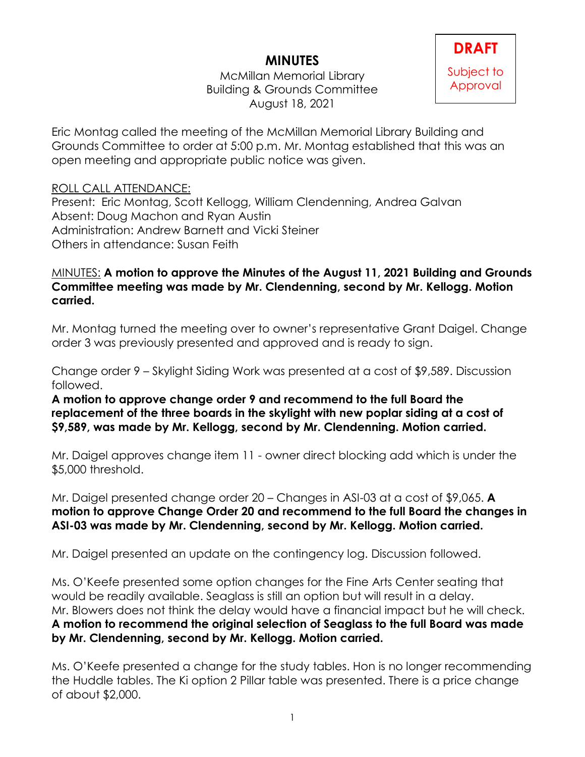## **MINUTES**

McMillan Memorial Library Building & Grounds Committee August 18, 2021



Eric Montag called the meeting of the McMillan Memorial Library Building and Grounds Committee to order at 5:00 p.m. Mr. Montag established that this was an open meeting and appropriate public notice was given.

## ROLL CALL ATTENDANCE:

Present: Eric Montag, Scott Kellogg, William Clendenning, Andrea Galvan Absent: Doug Machon and Ryan Austin Administration: Andrew Barnett and Vicki Steiner Others in attendance: Susan Feith

## MINUTES: **A motion to approve the Minutes of the August 11, 2021 Building and Grounds Committee meeting was made by Mr. Clendenning, second by Mr. Kellogg. Motion carried.**

Mr. Montag turned the meeting over to owner's representative Grant Daigel. Change order 3 was previously presented and approved and is ready to sign.

Change order 9 – Skylight Siding Work was presented at a cost of \$9,589. Discussion followed.

**A motion to approve change order 9 and recommend to the full Board the replacement of the three boards in the skylight with new poplar siding at a cost of \$9,589, was made by Mr. Kellogg, second by Mr. Clendenning. Motion carried.**

Mr. Daigel approves change item 11 - owner direct blocking add which is under the \$5,000 threshold.

Mr. Daigel presented change order 20 – Changes in ASI-03 at a cost of \$9,065. **A motion to approve Change Order 20 and recommend to the full Board the changes in ASI-03 was made by Mr. Clendenning, second by Mr. Kellogg. Motion carried.**

Mr. Daigel presented an update on the contingency log. Discussion followed.

Ms. O'Keefe presented some option changes for the Fine Arts Center seating that would be readily available. Seaglass is still an option but will result in a delay. Mr. Blowers does not think the delay would have a financial impact but he will check. **A motion to recommend the original selection of Seaglass to the full Board was made by Mr. Clendenning, second by Mr. Kellogg. Motion carried.**

Ms. O'Keefe presented a change for the study tables. Hon is no longer recommending the Huddle tables. The Ki option 2 Pillar table was presented. There is a price change of about \$2,000.